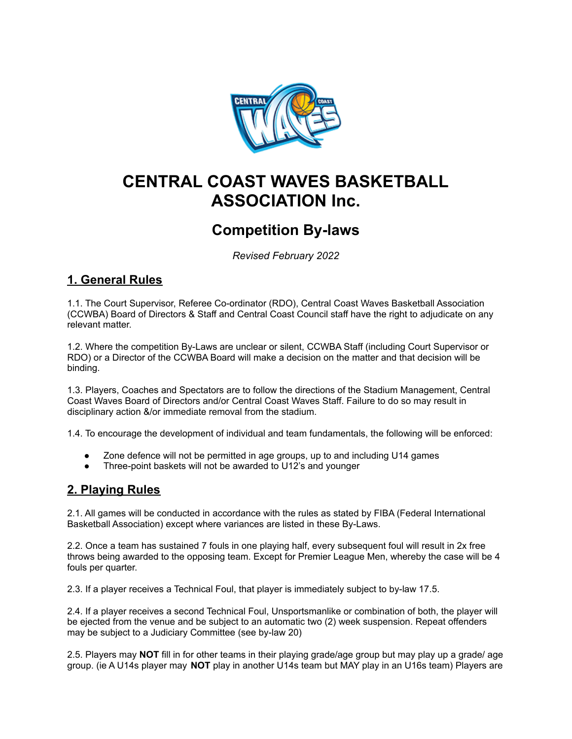

# **CENTRAL COAST WAVES BASKETBALL ASSOCIATION Inc.**

# **Competition By-laws**

*Revised February 2022*

# **1. General Rules**

1.1. The Court Supervisor, Referee Co-ordinator (RDO), Central Coast Waves Basketball Association (CCWBA) Board of Directors & Staff and Central Coast Council staff have the right to adjudicate on any relevant matter.

1.2. Where the competition By-Laws are unclear or silent, CCWBA Staff (including Court Supervisor or RDO) or a Director of the CCWBA Board will make a decision on the matter and that decision will be binding.

1.3. Players, Coaches and Spectators are to follow the directions of the Stadium Management, Central Coast Waves Board of Directors and/or Central Coast Waves Staff. Failure to do so may result in disciplinary action &/or immediate removal from the stadium.

1.4. To encourage the development of individual and team fundamentals, the following will be enforced:

- Zone defence will not be permitted in age groups, up to and including U14 games
- Three-point baskets will not be awarded to U12's and younger

#### **2. Playing Rules**

2.1. All games will be conducted in accordance with the rules as stated by FIBA (Federal International Basketball Association) except where variances are listed in these By-Laws.

2.2. Once a team has sustained 7 fouls in one playing half, every subsequent foul will result in 2x free throws being awarded to the opposing team. Except for Premier League Men, whereby the case will be 4 fouls per quarter.

2.3. If a player receives a Technical Foul, that player is immediately subject to by-law 17.5.

2.4. If a player receives a second Technical Foul, Unsportsmanlike or combination of both, the player will be ejected from the venue and be subject to an automatic two (2) week suspension. Repeat offenders may be subject to a Judiciary Committee (see by-law 20)

2.5. Players may **NOT** fill in for other teams in their playing grade/age group but may play up a grade/ age group. (ie A U14s player may **NOT** play in another U14s team but MAY play in an U16s team) Players are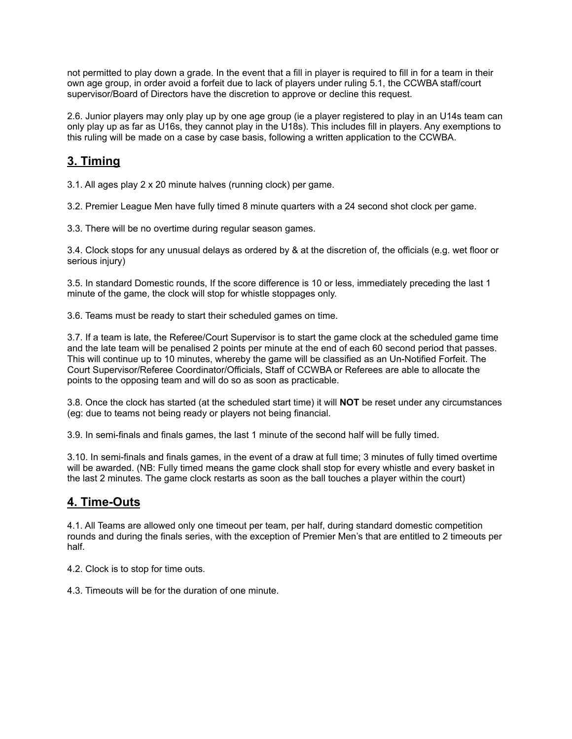not permitted to play down a grade. In the event that a fill in player is required to fill in for a team in their own age group, in order avoid a forfeit due to lack of players under ruling 5.1, the CCWBA staff/court supervisor/Board of Directors have the discretion to approve or decline this request.

2.6. Junior players may only play up by one age group (ie a player registered to play in an U14s team can only play up as far as U16s, they cannot play in the U18s). This includes fill in players. Any exemptions to this ruling will be made on a case by case basis, following a written application to the CCWBA.

# **3. Timing**

3.1. All ages play 2 x 20 minute halves (running clock) per game.

3.2. Premier League Men have fully timed 8 minute quarters with a 24 second shot clock per game.

3.3. There will be no overtime during regular season games.

3.4. Clock stops for any unusual delays as ordered by & at the discretion of, the officials (e.g. wet floor or serious injury)

3.5. In standard Domestic rounds, If the score difference is 10 or less, immediately preceding the last 1 minute of the game, the clock will stop for whistle stoppages only.

3.6. Teams must be ready to start their scheduled games on time.

3.7. If a team is late, the Referee/Court Supervisor is to start the game clock at the scheduled game time and the late team will be penalised 2 points per minute at the end of each 60 second period that passes. This will continue up to 10 minutes, whereby the game will be classified as an Un-Notified Forfeit. The Court Supervisor/Referee Coordinator/Officials, Staff of CCWBA or Referees are able to allocate the points to the opposing team and will do so as soon as practicable.

3.8. Once the clock has started (at the scheduled start time) it will **NOT** be reset under any circumstances (eg: due to teams not being ready or players not being financial.

3.9. In semi-finals and finals games, the last 1 minute of the second half will be fully timed.

3.10. In semi-finals and finals games, in the event of a draw at full time; 3 minutes of fully timed overtime will be awarded. (NB: Fully timed means the game clock shall stop for every whistle and every basket in the last 2 minutes. The game clock restarts as soon as the ball touches a player within the court)

#### **4. Time-Outs**

4.1. All Teams are allowed only one timeout per team, per half, during standard domestic competition rounds and during the finals series, with the exception of Premier Men's that are entitled to 2 timeouts per half.

4.2. Clock is to stop for time outs.

4.3. Timeouts will be for the duration of one minute.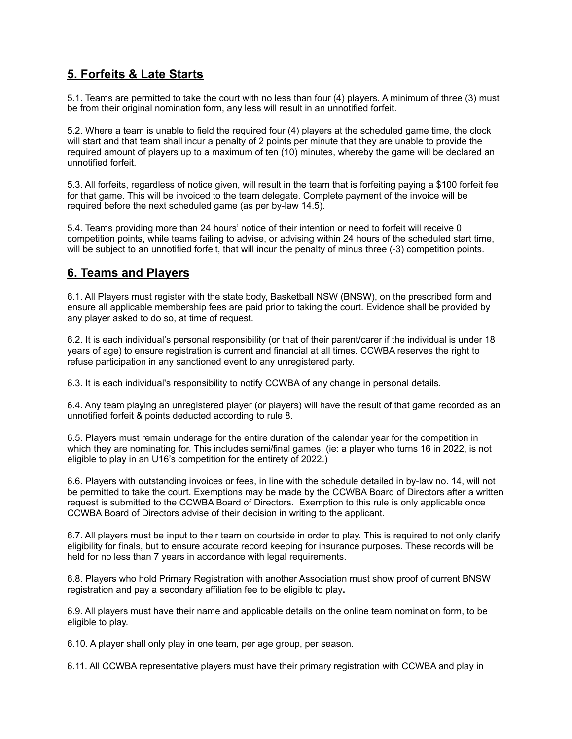## **5. Forfeits & Late Starts**

5.1. Teams are permitted to take the court with no less than four (4) players. A minimum of three (3) must be from their original nomination form, any less will result in an unnotified forfeit.

5.2. Where a team is unable to field the required four (4) players at the scheduled game time, the clock will start and that team shall incur a penalty of 2 points per minute that they are unable to provide the required amount of players up to a maximum of ten (10) minutes, whereby the game will be declared an unnotified forfeit.

5.3. All forfeits, regardless of notice given, will result in the team that is forfeiting paying a \$100 forfeit fee for that game. This will be invoiced to the team delegate. Complete payment of the invoice will be required before the next scheduled game (as per by-law 14.5).

5.4. Teams providing more than 24 hours' notice of their intention or need to forfeit will receive 0 competition points, while teams failing to advise, or advising within 24 hours of the scheduled start time, will be subject to an unnotified forfeit, that will incur the penalty of minus three (-3) competition points.

### **6. Teams and Players**

6.1. All Players must register with the state body, Basketball NSW (BNSW), on the prescribed form and ensure all applicable membership fees are paid prior to taking the court. Evidence shall be provided by any player asked to do so, at time of request.

6.2. It is each individual's personal responsibility (or that of their parent/carer if the individual is under 18 years of age) to ensure registration is current and financial at all times. CCWBA reserves the right to refuse participation in any sanctioned event to any unregistered party.

6.3. It is each individual's responsibility to notify CCWBA of any change in personal details.

6.4. Any team playing an unregistered player (or players) will have the result of that game recorded as an unnotified forfeit & points deducted according to rule 8.

6.5. Players must remain underage for the entire duration of the calendar year for the competition in which they are nominating for. This includes semi/final games. (ie: a player who turns 16 in 2022, is not eligible to play in an U16's competition for the entirety of 2022.)

6.6. Players with outstanding invoices or fees, in line with the schedule detailed in by-law no. 14, will not be permitted to take the court. Exemptions may be made by the CCWBA Board of Directors after a written request is submitted to the CCWBA Board of Directors. Exemption to this rule is only applicable once CCWBA Board of Directors advise of their decision in writing to the applicant.

6.7. All players must be input to their team on courtside in order to play. This is required to not only clarify eligibility for finals, but to ensure accurate record keeping for insurance purposes. These records will be held for no less than 7 years in accordance with legal requirements.

6.8. Players who hold Primary Registration with another Association must show proof of current BNSW registration and pay a secondary affiliation fee to be eligible to play**.**

6.9. All players must have their name and applicable details on the online team nomination form, to be eligible to play.

6.10. A player shall only play in one team, per age group, per season.

6.11. All CCWBA representative players must have their primary registration with CCWBA and play in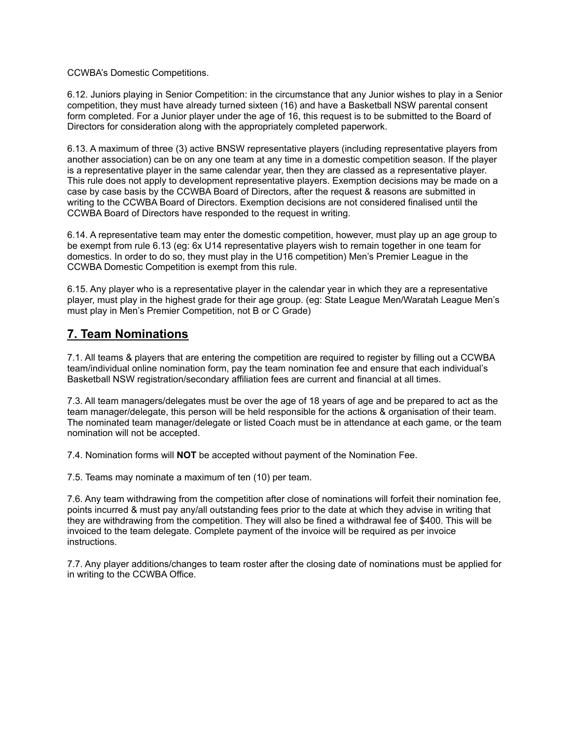CCWBA's Domestic Competitions.

6.12. Juniors playing in Senior Competition: in the circumstance that any Junior wishes to play in a Senior competition, they must have already turned sixteen (16) and have a Basketball NSW parental consent form completed. For a Junior player under the age of 16, this request is to be submitted to the Board of Directors for consideration along with the appropriately completed paperwork.

6.13. A maximum of three (3) active BNSW representative players (including representative players from another association) can be on any one team at any time in a domestic competition season. If the player is a representative player in the same calendar year, then they are classed as a representative player. This rule does not apply to development representative players. Exemption decisions may be made on a case by case basis by the CCWBA Board of Directors, after the request & reasons are submitted in writing to the CCWBA Board of Directors. Exemption decisions are not considered finalised until the CCWBA Board of Directors have responded to the request in writing.

6.14. A representative team may enter the domestic competition, however, must play up an age group to be exempt from rule 6.13 (eg: 6x U14 representative players wish to remain together in one team for domestics. In order to do so, they must play in the U16 competition) Men's Premier League in the CCWBA Domestic Competition is exempt from this rule.

6.15. Any player who is a representative player in the calendar year in which they are a representative player, must play in the highest grade for their age group. (eg: State League Men/Waratah League Men's must play in Men's Premier Competition, not B or C Grade)

### **7. Team Nominations**

7.1. All teams & players that are entering the competition are required to register by filling out a CCWBA team/individual online nomination form, pay the team nomination fee and ensure that each individual's Basketball NSW registration/secondary affiliation fees are current and financial at all times.

7.3. All team managers/delegates must be over the age of 18 years of age and be prepared to act as the team manager/delegate, this person will be held responsible for the actions & organisation of their team. The nominated team manager/delegate or listed Coach must be in attendance at each game, or the team nomination will not be accepted.

7.4. Nomination forms will **NOT** be accepted without payment of the Nomination Fee.

7.5. Teams may nominate a maximum of ten (10) per team.

7.6. Any team withdrawing from the competition after close of nominations will forfeit their nomination fee, points incurred & must pay any/all outstanding fees prior to the date at which they advise in writing that they are withdrawing from the competition. They will also be fined a withdrawal fee of \$400. This will be invoiced to the team delegate. Complete payment of the invoice will be required as per invoice instructions.

7.7. Any player additions/changes to team roster after the closing date of nominations must be applied for in writing to the CCWBA Office.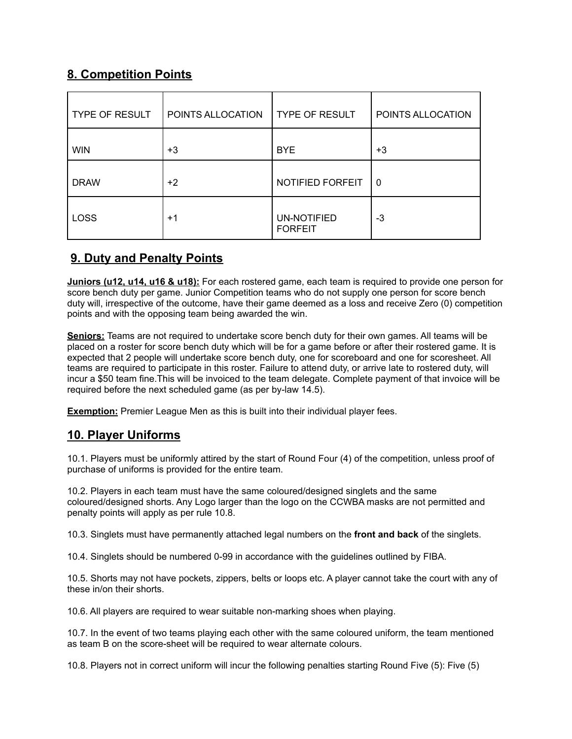# **8. Competition Points**

| <b>TYPE OF RESULT</b> | POINTS ALLOCATION | <b>TYPE OF RESULT</b>                | POINTS ALLOCATION |
|-----------------------|-------------------|--------------------------------------|-------------------|
| <b>WIN</b>            | $+3$              | <b>BYE</b>                           | $+3$              |
| <b>DRAW</b>           | $+2$              | NOTIFIED FORFEIT                     | 0                 |
| <b>LOSS</b>           | $+1$              | <b>UN-NOTIFIED</b><br><b>FORFEIT</b> | $-3$              |

# **9. Duty and Penalty Points**

**Juniors (u12, u14, u16 & u18):** For each rostered game, each team is required to provide one person for score bench duty per game. Junior Competition teams who do not supply one person for score bench duty will, irrespective of the outcome, have their game deemed as a loss and receive Zero (0) competition points and with the opposing team being awarded the win.

**Seniors:** Teams are not required to undertake score bench duty for their own games. All teams will be placed on a roster for score bench duty which will be for a game before or after their rostered game. It is expected that 2 people will undertake score bench duty, one for scoreboard and one for scoresheet. All teams are required to participate in this roster. Failure to attend duty, or arrive late to rostered duty, will incur a \$50 team fine.This will be invoiced to the team delegate. Complete payment of that invoice will be required before the next scheduled game (as per by-law 14.5).

**Exemption:** Premier League Men as this is built into their individual player fees.

# **10. Player Uniforms**

10.1. Players must be uniformly attired by the start of Round Four (4) of the competition, unless proof of purchase of uniforms is provided for the entire team.

10.2. Players in each team must have the same coloured/designed singlets and the same coloured/designed shorts. Any Logo larger than the logo on the CCWBA masks are not permitted and penalty points will apply as per rule 10.8.

10.3. Singlets must have permanently attached legal numbers on the **front and back** of the singlets.

10.4. Singlets should be numbered 0-99 in accordance with the guidelines outlined by FIBA.

10.5. Shorts may not have pockets, zippers, belts or loops etc. A player cannot take the court with any of these in/on their shorts.

10.6. All players are required to wear suitable non-marking shoes when playing.

10.7. In the event of two teams playing each other with the same coloured uniform, the team mentioned as team B on the score-sheet will be required to wear alternate colours.

10.8. Players not in correct uniform will incur the following penalties starting Round Five (5): Five (5)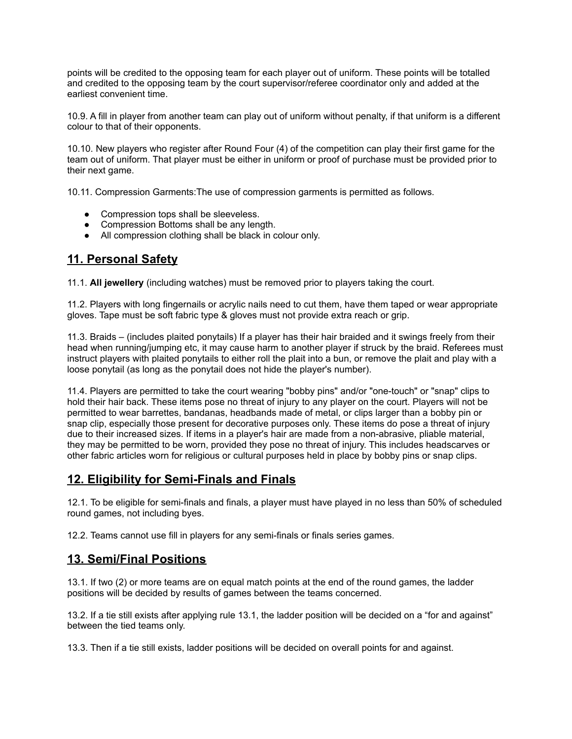points will be credited to the opposing team for each player out of uniform. These points will be totalled and credited to the opposing team by the court supervisor/referee coordinator only and added at the earliest convenient time.

10.9. A fill in player from another team can play out of uniform without penalty, if that uniform is a different colour to that of their opponents.

10.10. New players who register after Round Four (4) of the competition can play their first game for the team out of uniform. That player must be either in uniform or proof of purchase must be provided prior to their next game.

10.11. Compression Garments:The use of compression garments is permitted as follows.

- Compression tops shall be sleeveless.
- Compression Bottoms shall be any length.
- All compression clothing shall be black in colour only.

#### **11. Personal Safety**

11.1. **All jewellery** (including watches) must be removed prior to players taking the court.

11.2. Players with long fingernails or acrylic nails need to cut them, have them taped or wear appropriate gloves. Tape must be soft fabric type & gloves must not provide extra reach or grip.

11.3. Braids – (includes plaited ponytails) If a player has their hair braided and it swings freely from their head when running/jumping etc, it may cause harm to another player if struck by the braid. Referees must instruct players with plaited ponytails to either roll the plait into a bun, or remove the plait and play with a loose ponytail (as long as the ponytail does not hide the player's number).

11.4. Players are permitted to take the court wearing "bobby pins" and/or "one-touch" or "snap" clips to hold their hair back. These items pose no threat of injury to any player on the court. Players will not be permitted to wear barrettes, bandanas, headbands made of metal, or clips larger than a bobby pin or snap clip, especially those present for decorative purposes only. These items do pose a threat of injury due to their increased sizes. If items in a player's hair are made from a non-abrasive, pliable material, they may be permitted to be worn, provided they pose no threat of injury. This includes headscarves or other fabric articles worn for religious or cultural purposes held in place by bobby pins or snap clips.

#### **12. Eligibility for Semi-Finals and Finals**

12.1. To be eligible for semi-finals and finals, a player must have played in no less than 50% of scheduled round games, not including byes.

12.2. Teams cannot use fill in players for any semi-finals or finals series games.

#### **13. Semi/Final Positions**

13.1. If two (2) or more teams are on equal match points at the end of the round games, the ladder positions will be decided by results of games between the teams concerned.

13.2. If a tie still exists after applying rule 13.1, the ladder position will be decided on a "for and against" between the tied teams only.

13.3. Then if a tie still exists, ladder positions will be decided on overall points for and against.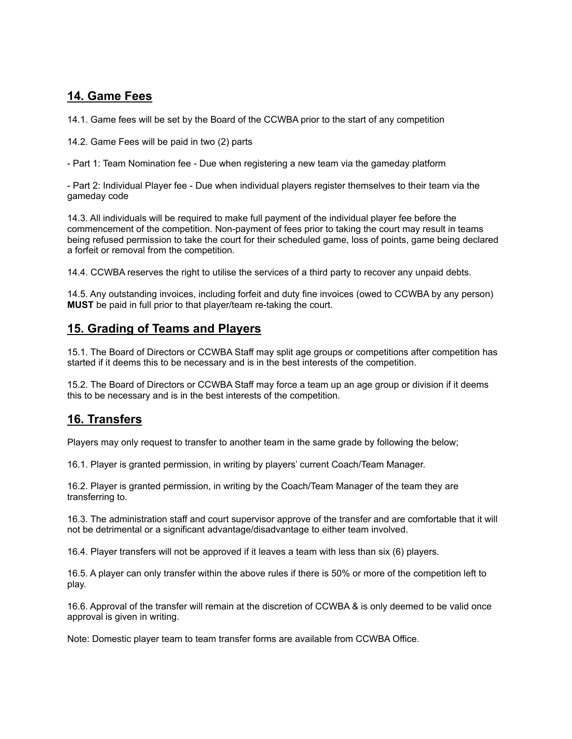## **14. Game Fees**

14.1. Game fees will be set by the Board of the CCWBA prior to the start of any competition

14.2. Game Fees will be paid in two (2) parts

- Part 1: Team Nomination fee - Due when registering a new team via the gameday platform

- Part 2: Individual Player fee - Due when individual players register themselves to their team via the gameday code

14.3. All individuals will be required to make full payment of the individual player fee before the commencement of the competition. Non-payment of fees prior to taking the court may result in teams being refused permission to take the court for their scheduled game, loss of points, game being declared a forfeit or removal from the competition.

14.4. CCWBA reserves the right to utilise the services of a third party to recover any unpaid debts.

14.5. Any outstanding invoices, including forfeit and duty fine invoices (owed to CCWBA by any person) **MUST** be paid in full prior to that player/team re-taking the court.

#### **15. Grading of Teams and Players**

15.1. The Board of Directors or CCWBA Staff may split age groups or competitions after competition has started if it deems this to be necessary and is in the best interests of the competition.

15.2. The Board of Directors or CCWBA Staff may force a team up an age group or division if it deems this to be necessary and is in the best interests of the competition.

#### **16. Transfers**

Players may only request to transfer to another team in the same grade by following the below;

16.1. Player is granted permission, in writing by players' current Coach/Team Manager.

16.2. Player is granted permission, in writing by the Coach/Team Manager of the team they are transferring to.

16.3. The administration staff and court supervisor approve of the transfer and are comfortable that it will not be detrimental or a significant advantage/disadvantage to either team involved.

16.4. Player transfers will not be approved if it leaves a team with less than six (6) players.

16.5. A player can only transfer within the above rules if there is 50% or more of the competition left to play.

16.6. Approval of the transfer will remain at the discretion of CCWBA & is only deemed to be valid once approval is given in writing.

Note: Domestic player team to team transfer forms are available from CCWBA Office.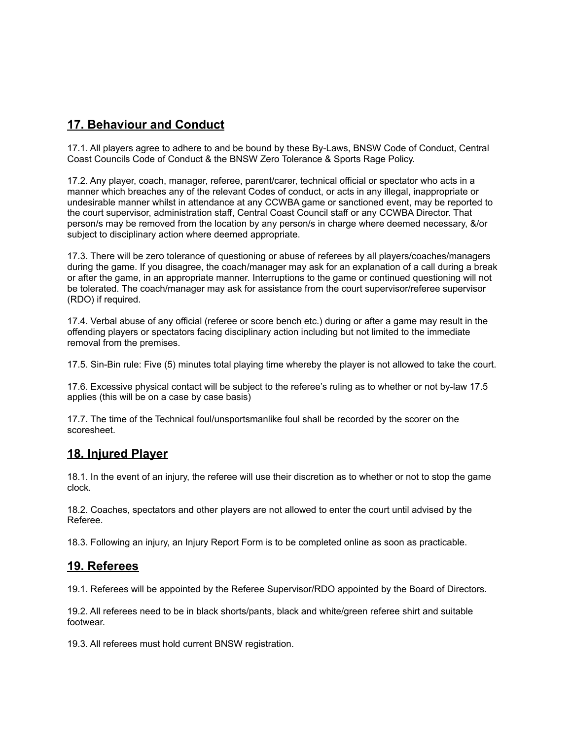# **17. Behaviour and Conduct**

17.1. All players agree to adhere to and be bound by these By-Laws, BNSW Code of Conduct, Central Coast Councils Code of Conduct & the BNSW Zero Tolerance & Sports Rage Policy.

17.2. Any player, coach, manager, referee, parent/carer, technical official or spectator who acts in a manner which breaches any of the relevant Codes of conduct, or acts in any illegal, inappropriate or undesirable manner whilst in attendance at any CCWBA game or sanctioned event, may be reported to the court supervisor, administration staff, Central Coast Council staff or any CCWBA Director. That person/s may be removed from the location by any person/s in charge where deemed necessary, &/or subject to disciplinary action where deemed appropriate.

17.3. There will be zero tolerance of questioning or abuse of referees by all players/coaches/managers during the game. If you disagree, the coach/manager may ask for an explanation of a call during a break or after the game, in an appropriate manner. Interruptions to the game or continued questioning will not be tolerated. The coach/manager may ask for assistance from the court supervisor/referee supervisor (RDO) if required.

17.4. Verbal abuse of any official (referee or score bench etc.) during or after a game may result in the offending players or spectators facing disciplinary action including but not limited to the immediate removal from the premises.

17.5. Sin-Bin rule: Five (5) minutes total playing time whereby the player is not allowed to take the court.

17.6. Excessive physical contact will be subject to the referee's ruling as to whether or not by-law 17.5 applies (this will be on a case by case basis)

17.7. The time of the Technical foul/unsportsmanlike foul shall be recorded by the scorer on the scoresheet.

#### **18. Injured Player**

18.1. In the event of an injury, the referee will use their discretion as to whether or not to stop the game clock.

18.2. Coaches, spectators and other players are not allowed to enter the court until advised by the Referee.

18.3. Following an injury, an Injury Report Form is to be completed online as soon as practicable.

#### **19. Referees**

19.1. Referees will be appointed by the Referee Supervisor/RDO appointed by the Board of Directors.

19.2. All referees need to be in black shorts/pants, black and white/green referee shirt and suitable footwear.

19.3. All referees must hold current BNSW registration.